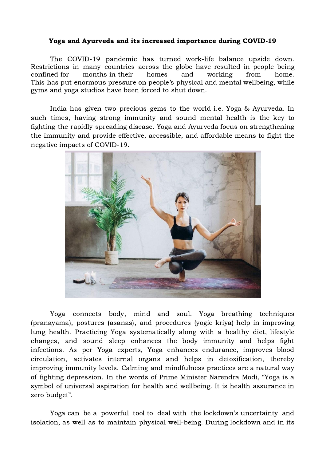## Yoga and Ayurveda and its increased importance during COVID-19

The COVID-19 pandemic has turned work-life balance upside down. Restrictions in many countries across the globe have resulted in people being confined for months in their homes and working from home. This has put enormous pressure on people's physical and mental wellbeing, while gyms and yoga studios have been forced to shut down.

India has given two precious gems to the world i.e. Yoga & Ayurveda. In such times, having strong immunity and sound mental health is the key to fighting the rapidly spreading disease. Yoga and Ayurveda focus on strengthening the immunity and provide effective, accessible, and affordable means to fight the negative impacts of COVID-19.



Yoga connects body, mind and soul. Yoga breathing techniques (pranayama), postures (asanas), and procedures (yogic kriya) help in improving lung health. Practicing Yoga systematically along with a healthy diet, lifestyle changes, and sound sleep enhances the body immunity and helps fight infections. As per Yoga experts, Yoga enhances endurance, improves blood circulation, activates internal organs and helps in detoxification, thereby improving immunity levels. Calming and mindfulness practices are a natural way of fighting depression. In the words of Prime Minister Narendra Modi, "Yoga is a symbol of universal aspiration for health and wellbeing. It is health assurance in zero budget".

Yoga can be a powerful tool to deal with the lockdown's uncertainty and isolation, as well as to maintain physical well-being. During lockdown and in its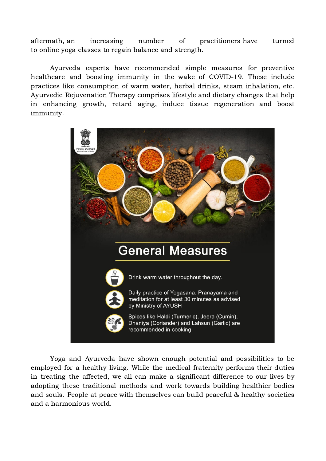aftermath, an increasing number of practitioners have turned to online yoga classes to regain balance and strength.

Ayurveda experts have recommended simple measures for preventive healthcare and boosting immunity in the wake of COVID-19. These include practices like consumption of warm water, herbal drinks, steam inhalation, etc. Ayurvedic Rejuvenation Therapy comprises lifestyle and dietary changes that help in enhancing growth, retard aging, induce tissue regeneration and boost immunity.



Yoga and Ayurveda have shown enough potential and possibilities to be employed for a healthy living. While the medical fraternity performs their duties in treating the affected, we all can make a significant difference to our lives by adopting these traditional methods and work towards building healthier bodies and souls. People at peace with themselves can build peaceful & healthy societies and a harmonious world.